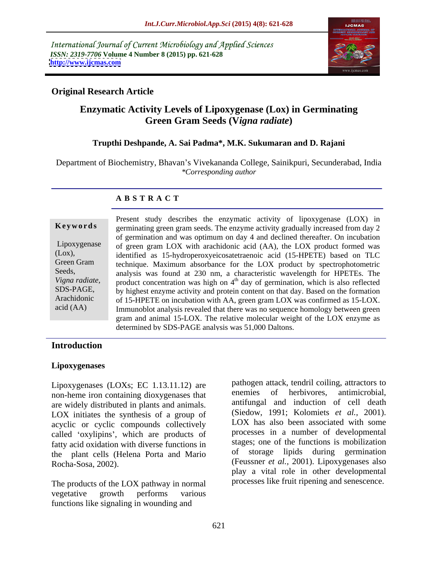International Journal of Current Microbiology and Applied Sciences *ISSN: 2319-7706* **Volume 4 Number 8 (2015) pp. 621-628 <http://www.ijcmas.com>**



### **Original Research Article**

# **Enzymatic Activity Levels of Lipoxygenase (Lox) in Germinating Green Gram Seeds (V***igna radiate***) Trupthi Deshpande, A. Sai Padma\*, M.K. Sukumaran and D. Rajani**

Department of Biochemistry, Bhavan's Vivekananda College, Sainikpuri, Secunderabad, India *\*Corresponding author*

### **A B S T R A C T**

Present study describes the enzymatic activity of lipoxygenase (LOX) in germinating green gram seeds. The enzyme activity gradually increased from day 2 **Ke ywo rds** of germination and was optimum on day 4 and declined thereafter. On incubation Lipoxygenase of green gram LOX with arachidonic acid (AA), the LOX product formed was identified as 15-hydroperoxyeicosatetraenoic acid (15-HPETE) based on TLC (Lox), Green Gram technique. Maximum absorbance for the LOX product by spectrophotometric Seeds, analysis was found at 230 nm, a characteristic wavelength for HPETEs. The Vigna radiate, product concentration was high on 4<sup>th</sup> day of germination, which is also reflected by highest enzyme activity and protein content on that day. Based on the formation SDS-PAGE, of 15-HPETE on incubation with AA, green gram LOX was confirmed as 15-LOX. Arachidonic acid (AA) Immunoblot analysis revealed that there was no sequence homology between green gram and animal 15-LOX. The relative molecular weight of the LOX enzyme as determined by SDS-PAGE analysis was 51,000 Daltons.

### **Introduction**

### **Lipoxygenases**

Lipoxygenases (LOXs; EC 1.13.11.12) are a pathogen attack, tendril colling, attractors to<br>non-hame iron containing dioxygenases that are enemies of herbivores, antimicrobial, non-heme iron containing dioxygenases that are widely distributed in plants and animals. LOX initiates the synthesis of a group of acyclic or cyclic compounds collectively called 'oxylipins', which are products of fatty acid oxidation with diverse functions in the plant cells (Helena Porta and Mario

The products of the LOX pathway in normal vegetative growth performs various functions like signaling in wounding and

Rocha-Sosa, 2002). (Feussner *et al.,* 2001). Lipoxygenases also pathogen attack, tendril coiling, attractors to enemies of herbivores, antimicrobial, antifungal and induction of cell death (Siedow, 1991; Kolomiets *et al.,* 2001). LOX has also been associated with some processes in a number of developmental stages; one of the functions is mobilization of storage lipids during germination play a vital role in other developmental processes like fruit ripening and senescence.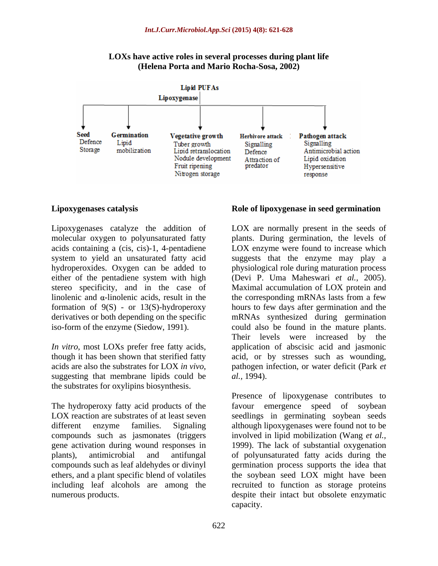

**LOXs have active roles in several processes during plant life (Helena Porta and Mario Rocha-Sosa, 2002)**

molecular oxygen to polyunsaturated fatty hydroperoxides. Oxygen can be added to derivatives or both depending on the specific

*In vitro*, most LOXs prefer free fatty acids, suggesting that membrane lipids could be  $al$ , 1994). the substrates for oxylipins biosynthesis.

compounds such as jasmonates (triggers

### **Lipoxygenases catalysis Role of lipoxygenase in seed germination**

Lipoxygenases catalyze the addition of LOX are normally present in the seeds of acids containing a (cis, cis)-1, 4-pentadiene LOX enzyme were found to increase which system to yield an unsaturated fatty acid suggests that the enzyme may play a either of the pentadiene system with high (Devi P. Uma Maheswari *et al.,* 2005). stereo specificity, and in the case of Maximal accumulation of LOX protein and linolenic and  $\alpha$ -linolenic acids, result in the the corresponding mRNAs lasts from a few formation of 9(S) - or 13(S)-hydroperoxy hours to few days after germination and the iso-form of the enzyme (Siedow, 1991). could also be found in the mature plants. though it has been shown that sterified fatty acid, or by stresses such as wounding, acids are also the substrates for LOX *in vivo*, pathogen infection, or water deficit (Park *et*  plants. During germination, the levels of physiological role during maturation process mRNAs synthesized during germination Their levels were increased by the application of abscisic acid and jasmonic *al.,* 1994).

The hydroperoxy fatty acid products of the favour emergence speed of soybean LOX reaction are substrates of at least seven seedlings in germinating soybean seeds different enzyme families. Signaling although lipoxygenases were found not to be gene activation during wound responses in 1999). The lack of substantial oxygenation plants), antimicrobial and antifungal of polyunsaturated fatty acids during the compounds such as leaf aldehydes or divinyl germination process supports the idea that ethers, and a plant specific blend of volatiles the soybean seed LOX might have been including leaf alcohols are among the recruited to function as storage proteins numerous products. despite their intact but obsolete enzymatic Presence of lipoxygenase contributes to involved in lipid mobilization (Wang *et al.,* capacity.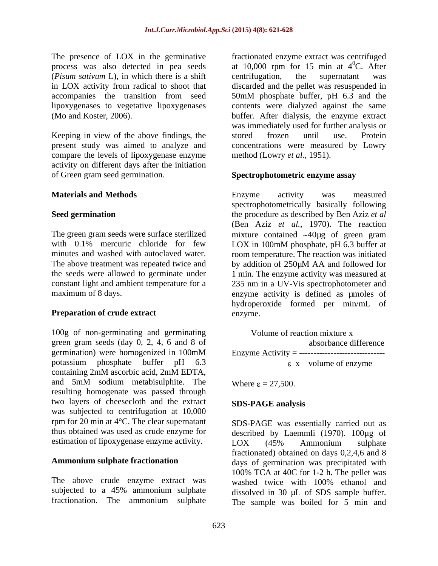(*Pisum sativum* L), in which there is a shift in LOX activity from radical to shoot that discarded and the pellet was resuspended in accompanies the transition from seed 50mM phosphate buffer, pH 6.3 and the lipoxygenases to vegetative lipoxygenases

Keeping in view of the above findings, the stored frozen until use. Protein present study was aimed to analyze and compare the levels of lipoxygenase enzyme activity on different days after the initiation of Green gram seed germination. Spectrophotometric enzyme assay

with 0.1% mercuric chloride for few LOX in 100mM phosphate, pH 6.3 buffer at The above treatment was repeated twice and by addition of 250 $\mu$ M AA and followed for

### **Preparation of crude extract** enzyme.

100g of non-germinating and germinating Volume of reaction mixture x green gram seeds (day 0, 2, 4, 6 and 8 of absorbance difference germination) were homogenized in 100mM Enzyme Activity = -----------------------------potassium phosphate buffer pH  $6.3$   $\epsilon$  x volume of enzyme containing 2mM ascorbic acid, 2mM EDTA, and 5mM sodium metabisulphite. The Where  $\varepsilon = 27.500$ . resulting homogenate was passed through two layers of cheesecloth and the extract SDS-PAGE analysis was subjected to centrifugation at 10,000 rpm for 20 min at 4°C. The clear supernatant

The above crude enzyme extract was washed twice with 100% ethanol and

The presence of LOX in the germinative fractionated enzyme extract was centrifuged process was also detected in pea seeds at  $10,000$  rpm for 15 min at  $4^{\circ}$ C. After (Mo and Koster, 2006). buffer. After dialysis, the enzyme extract  ${}^{0}C.$  After centrifugation, the supernatant was discarded and the pellet was resuspended in 50mM phosphate buffer, pH 6.3 and the contents were dialyzed against the same was immediately used for further analysis or stored frozen until use. Protein concentrations were measured by Lowry method (Lowry *et al.,* 1951).

### **Spectrophotometric enzyme assay**

**Materials and Methods being constructed and Methods being constructed and in the methods constructed and in the methods constructed constructed constructed constructed constructed constructed con Seed germination** the procedure as described by Ben Aziz *et al* The green gram seeds were surface sterilized mixture contained  $\sim$ 40µg of green gram minutes and washed with autoclaved water. Toom temperature. The reaction was initiated the seeds were allowed to germinate under 1 min. The enzyme activity was measured at constant light and ambient temperature for a 235 nm in a UV-Vis spectrophotometer and maximum of 8 days. enzyme activity is defined as µmoles of Enzyme activity was measured spectrophotometrically basically following (Ben Aziz *et al.,* 1970). The reaction LOX in 100mM phosphate, pH 6.3 buffer at by addition of 250µM AA and followed for hydroperoxide formed per min/mL of enzyme.

> Volume of reaction mixture x absorbance difference Enzyme Activity = ----------------------------- x volume of enzyme

Where  $\epsilon = 27,500$ .

### **SDS-PAGE analysis**

thus obtained was used as crude enzyme for described by Laemmli (1970). 100µg of estimation of lipoxygenase enzyme activity. LOX (45% Ammonium sulphate **Ammonium sulphate fractionation** days of germination was precipitated with subjected to a 45% ammonium sulphate dissolved in 30 µL of SDS sample buffer. fractionation. The ammonium sulphate The sample was boiled for 5 min andSDS-PAGE was essentially carried out as LOX (45% Ammonium sulphate fractionated) obtained on days 0,2,4,6 and 8 100% TCA at 40C for 1-2 h. The pellet was washed twice with 100% ethanol and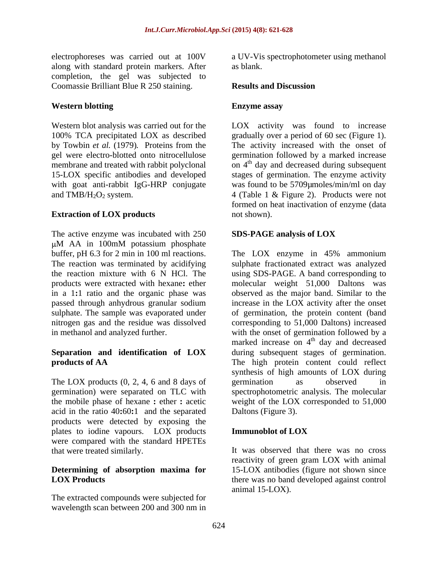electrophoreses was carried out at 100V a UV-Vis spectrophotometer using methanol along with standard protein markers. After completion, the gel was subjected to Coomassie Brilliant Blue R 250 staining.

### **Western blotting**

by Towbin *et al.* (1979)*.* Proteins from the

The active enzyme was incubated with 250 SDS-PAGE analysis of LOX M AA in 100mM potassium phosphate in a 1**:**1 ratio and the organic phase was

The LOX products  $(0, 2, 4, 6, \text{ and } 8 \text{ days of}$  germination as observed in germination) were separated on TLC with acid in the ratio 40**:**60**:**1 and the separated products were detected by exposing the plates to iodine vapours. LOX products **Immunoblet of LOX** were compared with the standard HPETEs

## **Determining of absorption maxima for**

The extracted compounds were subjected for wavelength scan between 200 and 300 nm in as blank.

### **Results and Discussion**

### **Enzyme assay**

Western blot analysis was carried out for the LOX activity was found to increase 100% TCA precipitated LOX as described gradually over a period of 60 sec (Figure 1). gel were electro-blotted onto nitrocellulose germination followed by a marked increase membrane and treated with rabbit polyclonal on 4<sup>th</sup> day and decreased during subsequent 15-LOX specific antibodies and developed stages of germination. The enzyme activity with goat anti-rabbit IgG-HRP conjugate was found to be 5709µmoles/min/ml on day and  $TMB/H<sub>2</sub>O<sub>2</sub>$  system.  $\overline{4}$  (Table 1 & Figure 2). Products were not **Extraction of LOX products** not shown). The activity increased with the onset of formed on heat inactivation of enzyme (data not shown).

### **SDS-PAGE analysis of LOX**

buffer, pH 6.3 for 2 min in 100 ml reactions. The LOX enzyme in 45% ammonium The reaction was terminated by acidifying sulphate fractionated extract was analyzed the reaction mixture with 6 N HCl. The using SDS-PAGE. A band corresponding to products were extracted with hexane**:** ether molecular weight 51,000 Daltons was passed through anhydrous granular sodium increase in the LOX activity after the onset sulphate. The sample was evaporated under of germination, the protein content (band nitrogen gas and the residue was dissolved corresponding to 51,000 Daltons) increased in methanol and analyzed further. with the onset of germination followed by a **Separation and identification of LOX** during subsequent stages of germination. **products of AA** The high protein content could reflect the mobile phase of hexane **:** ether **:** acetic weight of the LOX corresponded to 51,000 observed as the major band. Similar to the marked increase on 4<sup>th</sup> day and decreased th day and decreased synthesis of high amounts of LOX during germination as observed in spectrophotometric analysis. The molecular Daltons (Figure 3).

### **Immunoblot of LOX**

that were treated similarly. It was observed that there was no cross **LOX Products** there was no band developed against control reactivity of green gram LOX with animal 15-LOX antibodies (figure not shown since animal 15-LOX).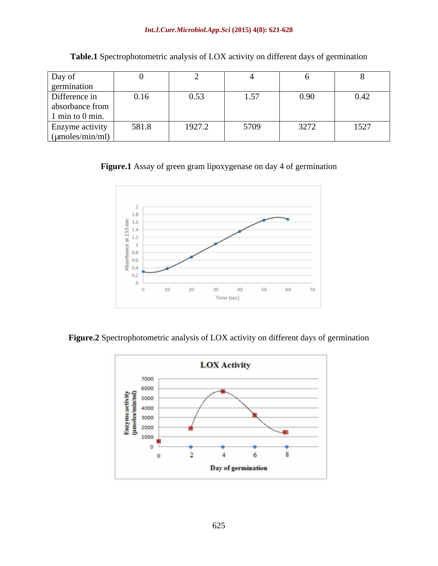| Day of             |                      |                  |                                   |      |      |
|--------------------|----------------------|------------------|-----------------------------------|------|------|
| germination        |                      |                  |                                   |      |      |
| Difference in      | $\bigcap$ 16<br>0.10 | 0.53<br>$\cdots$ | $\sim$ $\sim$ $\sim$<br>$\cdot$ . | 0.90 | 0.42 |
| absorbance from    |                      |                  |                                   |      |      |
| $1$ min to 0 min.  |                      |                  |                                   |      |      |
| Enzyme activity    | 581.8                | 1927.2           | 5709                              | 3272 | 1527 |
| $\mu$ moles/min/ml |                      |                  |                                   |      |      |

**Table.1** Spectrophotometric analysis of LOX activity on different days of germination

**Figure.1** Assay of green gram lipoxygenase on day 4 of germination



**Figure.2** Spectrophotometric analysis of LOX activity on different days of germination

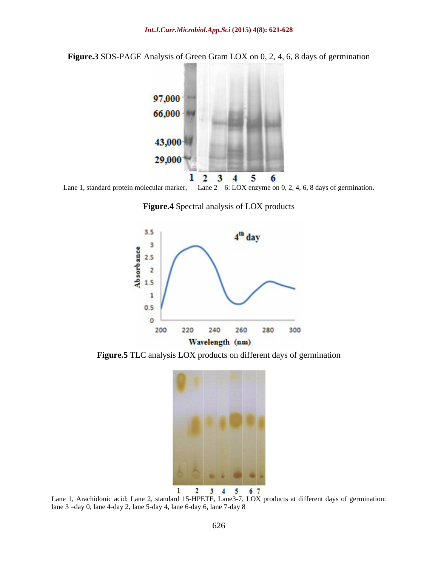**Figure.3** SDS-PAGE Analysis of Green Gram LOX on 0, 2, 4, 6, 8 days of germination



Lane 1, standard protein molecular marker, Lane  $2 - 6$ : LOX enzyme on 0, 2, 4, 6, 8 days of germination.

**Figure.4** Spectral analysis of LOX products



**Figure.5** TLC analysis LOX products on different days of germination



Lane 1, Arachidonic acid; Lane 2, standard 15-HPETE, Lane3-7, LOX products at different days of germination: lane 3 -day 0, lane 4-day 2, lane 5-day 4, lane 6-day 6, lane 7-day 8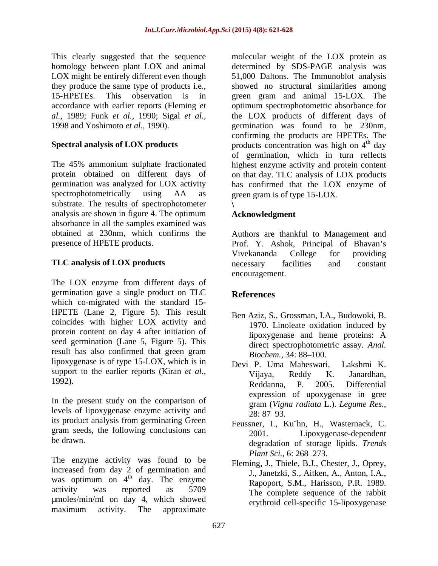accordance with earlier reports (Fleming *et* 

substrate. The results of spectrophotometer analysis are shown in figure 4. The optimum<br>Acknowledgment absorbance in all the samples examined was

The LOX enzyme from different days of germination gave a single product on TLC which co-migrated with the standard 15- HPETE (Lane 2, Figure 5). This result coincides with higher LOX activity and protein content on day 4 after initiation of lipoxygenase and heme proteins: A seed germination (Lane 5, Figure 5). This result has also confirmed that green gram Biochem.. 34: 88–100. lipoxygenase is of type 15-LOX, which is in Devi P. Uma Maheswari. Lakshmi K. support to the earlier reports (Kiran *et al.*,  $V_{ij}$ <sub>24</sub>, Reddy K. Janardhan,

In the present study on the comparison of levels of lipoxygenase enzyme activity and  $28:87-93$ . its product analysis from germinating Green gram seeds, the following conclusions can  $\frac{1}{2001}$ .

The enzyme activity was found to be<br>
Flaming I Thiele B I Che increased from day 2 of germination and was optimum on  $4<sup>th</sup>$  day. The enzyme activity was reported as 5709 The complete sequence of the rabbit µmoles/min/ml on day 4, which showed maximum activity. The approximate

This clearly suggested that the sequence molecular weight of the LOX protein as homology between plant LOX and animal determined by SDS-PAGE analysis was LOX might be entirely different even though 51,000 Daltons. The Immunoblot analysis they produce the same type of products i.e., showed no structural similarities among 15-HPETEs. This observation is in green gram and animal 15-LOX. The *al.,* 1989; Funk *et al.,* 1990; Sigal *et al.,* the LOX products of different days of 1998 and Yoshimoto *et al.,* 1990). germination was found to be 230nm, **Spectral analysis of LOX products b** products concentration was high on 4<sup>th</sup> day The 45% ammonium sulphate fractionated highest enzyme activity and protein content protein obtained on different days of on that day. TLC analysis of LOX products germination was analyzed for LOX activity has confirmed that the LOX enzyme of spectrophotometrically using AA as green gram is of type 15-LOX. optimum spectrophotometric absorbance for confirming the products are HPETEs. The <sup>th</sup> day of germination, which in turn reflects green gram is of type 15-LOX. **\**

### **Acknowledgment**

obtained at 230nm, which confirms the Authors are thankful to Management and presence of HPETE products. Prof. Y. Ashok, Principal of Bhavan's **TLC analysis of LOX products** Vivekananda College for providing necessary facilities and constant encouragement.

### **References**

- Ben Aziz, S., Grossman, I.A., Budowoki, B. 1970. Linoleate oxidation induced by lipoxygenase and heme proteins: A direct spectrophotometric assay. *Anal. Biochem.,* 34: 88–100.
- $1992$ ). Reddanna P  $2005$  Differential Devi P. Uma Maheswari, Vijaya, Reddy K. Janardhan, Reddanna, P. 2005. Differential expression of upoxygenase in gree gram (*Vigna radiata* L.). *Legume Res.,* 28: 87 93.
- be drawn. degradation of storage lipids. *Trends*  Feussner, I., Ku¨hn, H., Wasternack, C. Lipoxygenase-dependent *Plant Sci., 6: 268–273.* 
	- $\frac{1}{100}$  day. The enzyme Rapoport, S.M., Harisson, P.R. 1989. Fleming, J., Thiele, B.J., Chester, J., Oprey, J., Janetzki, S., Aitken, A., Anton, I.A., erythroid cell-specific 15-lipoxygenase